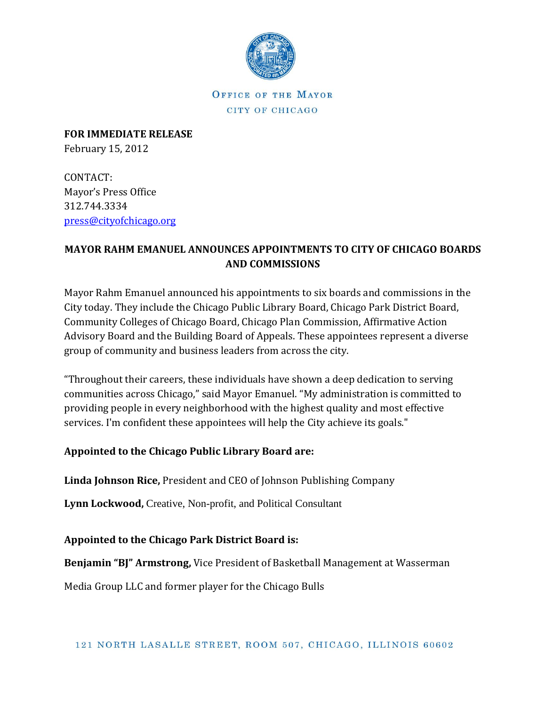

OFFICE OF THE MAYOR CITY OF CHICAGO

**FOR IMMEDIATE RELEASE** February 15, 2012

CONTACT: Mayor's Press Office 312.744.3334 [press@cityofchicago.org](mailto:press@cityofchicago.org)

### **MAYOR RAHM EMANUEL ANNOUNCES APPOINTMENTS TO CITY OF CHICAGO BOARDS AND COMMISSIONS**

Mayor Rahm Emanuel announced his appointments to six boards and commissions in the City today. They include the Chicago Public Library Board, Chicago Park District Board, Community Colleges of Chicago Board, Chicago Plan Commission, Affirmative Action Advisory Board and the Building Board of Appeals. These appointees represent a diverse group of community and business leaders from across the city.

"Throughout their careers, these individuals have shown a deep dedication to serving communities across Chicago," said Mayor Emanuel. "My administration is committed to providing people in every neighborhood with the highest quality and most effective services. I'm confident these appointees will help the City achieve its goals."

#### **Appointed to the Chicago Public Library Board are:**

**Linda Johnson Rice,** President and CEO of Johnson Publishing Company

**Lynn Lockwood,** Creative, Non-profit, and Political Consultant

**Appointed to the Chicago Park District Board is:**

**Benjamin "BJ" Armstrong,** Vice President of Basketball Management at Wasserman

Media Group LLC and former player for the Chicago Bulls